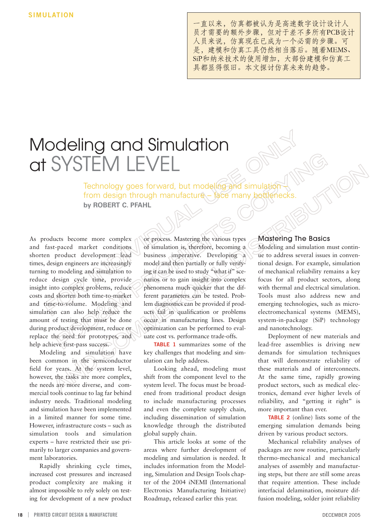一直以来, 仿真都被认为是高速数字设计设计人 员才需要的额外步骤,但对于差不多所有PCB设计 人员来说,仿真现在已成为一个必需的步骤。可 是, 建模和仿真工具仍然相当落后。随着MEMS、 SiP和纳米技术的使用增加,大部份建模和仿真工 具都显得很旧。本文探讨仿真未来的趋势。

# Modeling and Simulation at SYSTEM LEVEL

Technology goes forward, but modeling and simulation from design through manufacture – face many bottlenecks. **by ROBERT C. PFAHL** 

As products become more complex and fast-paced market conditions shorten product development lead times, design engineers are increasingly turning to modeling and simulation to reduce design cycle time, provide insight into complex problems, reduce costs and shorten both time-to-market and time-to-volume. Modeling and simulation can also help reduce the amount of testing that must be done during product development, reduce or replace the need for prototypes, and help achieve first-pass success.

Modeling and simulation have been common in the semiconductor field for years. At the system level, however, the tasks are more complex, the needs are more diverse, and commercial tools continue to lag far behind industry needs. Traditional modeling and simulation have been implemented in a limited manner for some time. However, infrastructure costs – such as simulation tools and simulation experts – have restricted their use primarily to larger companies and government laboratories.

Rapidly shrinking cycle times, increased cost pressures and increased product complexity are making it almost impossible to rely solely on testing for development of a new product

or process. Mastering the various types of simulation is, therefore, becoming a business imperative. Developing a model and then partially or fully verifying it can be used to study "what if" scenarios or to gain insight into complex phenomena much quicker that the different parameters can be tested. Problem diagnostics can be provided if products fail in qualification or problems occur in manufacturing lines. Design optimization can be performed to evaluate cost vs. performance trade-offs.

**TABLE 1** summarizes some of the key challenges that modeling and simulation can help address.

Looking ahead, modeling must shift from the component level to the system level. The focus must be broadened from traditional product design to include manufacturing processes and even the complete supply chain, including dissemination of simulation knowledge through the distributed global supply chain.

This article looks at some of the areas where further development of modeling and simulation is needed. It includes information from the Modeling, Simulation and Design Tools chapter of the 2004 iNEMI (International Electronics Manufacturing Initiative) Roadmap, released earlier this year.

# Mastering The Basics

Modeling and simulation must continue to address several issues in conventional design. For example, simulation of mechanical reliability remains a key focus for all product sectors, along with thermal and electrical simulation. Tools must also address new and emerging technologies, such as microelectromechanical systems (MEMS), system-in-package (SiP) technology and nanotechnology.

Deployment of new materials and lead-free assemblies is driving new demands for simulation techniques that will demonstrate reliability of these materials and of interconnects. At the same time, rapidly growing product sectors, such as medical electronics, demand ever higher levels of reliability, and "getting it right" is more important than ever.

**TABLE 2** (online) lists some of the emerging simulation demands being driven by various product sectors.

Mechanical reliability analyses of packages are now routine, particularly thermo-mechanical and mechanical analyses of assembly and manufacturing steps, but there are still some areas that require attention. These include interfacial delamination, moisture diffusion modeling, solder joint reliability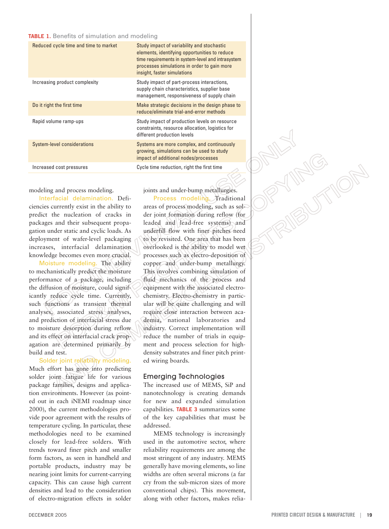### **TABLE 1.** Benefits of simulation and modeling

| Reduced cycle time and time to market | Study impact of variability and stochastic<br>elements, identifying opportunities to reduce<br>time requirements in system-level and intrasystem<br>processes simulations in order to gain more<br>insight, faster simulations |
|---------------------------------------|--------------------------------------------------------------------------------------------------------------------------------------------------------------------------------------------------------------------------------|
| Increasing product complexity         | Study impact of part-process interactions,<br>supply chain characteristics, supplier base<br>management, responsiveness of supply chain                                                                                        |
| Do it right the first time            | Make strategic decisions in the design phase to<br>reduce/eliminate trial-and-error methods                                                                                                                                    |
| Rapid volume ramp-ups                 | Study impact of production levels on resource<br>constraints, resource allocation, logistics for<br>different production levels                                                                                                |
| <b>System-level considerations</b>    | Systems are more complex, and continuously<br>growing, simulations can be used to study<br>impact of additional nodes/processes                                                                                                |
| Increased cost pressures              | Cycle time reduction, right the first time                                                                                                                                                                                     |

modeling and process modeling.

Interfacial delamination. Deficiencies currently exist in the ability to predict the nucleation of cracks in packages and their subsequent propagation under static and cyclic loads. As deployment of wafer-level packaging increases, interfacial delamination knowledge becomes even more crucial.

Moisture modeling. The ability to mechanistically predict the moisture performance of a package, including the diffusion of moisture, could significantly reduce cycle time. Currently, such functions as transient thermal analyses, associated stress analyses, and prediction of interfacial stress due to moisture desorption during reflow and its effect on interfacial crack propagation are determined primarily by build and test.

Solder joint reliability modeling. Much effort has gone into predicting solder joint fatigue life for various package families, designs and application environments. However (as pointed out in each iNEMI roadmap since 2000), the current methodologies provide poor agreement with the results of temperature cycling. In particular, these methodologies need to be examined closely for lead-free solders. With trends toward finer pitch and smaller form factors, as seen in handheld and portable products, industry may be nearing joint limits for current-carrying capacity. This can cause high current densities and lead to the consideration of electro-migration effects in solder

Process modeling. Traditional areas of process modeling, such as solder joint formation during reflow (for leaded and lead-free systems) and underfill flow with finer pitches need to be revisited. One area that has been overlooked is the ability to model wet processes such as electro-deposition of copper and under-bump metallurgy. This involves combining simulation of fluid mechanics of the process and equipment with the associated electrochemistry. Electro-chemistry in particular will be quite challenging and will require close interaction between academia, national laboratories and industry. Correct implementation will reduce the number of trials in equipment and process selection for highdensity substrates and finer pitch printed wiring boards.

joints and under-bump metallurgies.

# Emerging Technologies

The increased use of MEMS, SiP and nanotechnology is creating demands for new and expanded simulation capabilities. **TABLE 3** summarizes some of the key capabilities that must be addressed.

MEMS technology is increasingly used in the automotive sector, where reliability requirements are among the most stringent of any industry. MEMS generally have moving elements, so line widths are often several microns (a far cry from the sub-micron sizes of more conventional chips). This movement, along with other factors, makes reliaPAINS UNION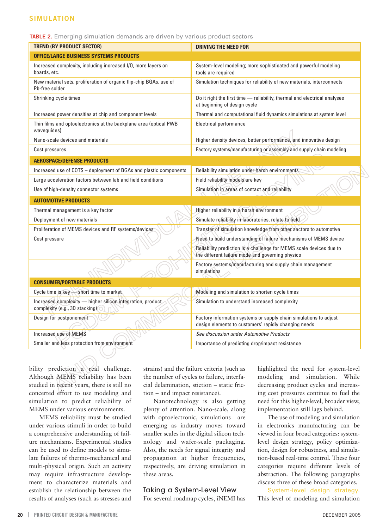# **SIMULATION**

#### **TABLE 2.** Emerging simulation demands are driven by various product sectors

| <b>TREND (BY PRODUCT SECTOR)</b>                                                             | <b>DRIVING THE NEED FOR</b>                                                                                               |  |
|----------------------------------------------------------------------------------------------|---------------------------------------------------------------------------------------------------------------------------|--|
| <b>OFFICE/LARGE BUSINESS SYSTEMS PRODUCTS</b>                                                |                                                                                                                           |  |
| Increased complexity, including increased I/O, more layers on<br>boards, etc.                | System-level modeling; more sophisticated and powerful modeling<br>tools are required                                     |  |
| New material sets, proliferation of organic flip-chip BGAs, use of<br>Pb-free solder         | Simulation techniques for reliability of new materials, interconnects                                                     |  |
| Shrinking cycle times                                                                        | Do it right the first time - reliability, thermal and electrical analyses<br>at beginning of design cycle                 |  |
| Increased power densities at chip and component levels                                       | Thermal and computational fluid dynamics simulations at system level                                                      |  |
| Thin films and optoelectronics at the backplane area (optical PWB<br>waveguides)             | Electrical performance                                                                                                    |  |
| Nano-scale devices and materials                                                             | Higher density devices, better performance, and innovative design                                                         |  |
| Cost pressures                                                                               | Factory systems/manufacturing or assembly and supply chain modeling                                                       |  |
| <b>AEROSPACE/DEFENSE PRODUCTS</b>                                                            |                                                                                                                           |  |
| Increased use of COTS - deployment of BGAs and plastic components                            | Reliability simulation under harsh environments                                                                           |  |
| Large acceleration factors between lab and field conditions                                  | Field reliability models are key                                                                                          |  |
| Use of high-density connector systems                                                        | Simulation in areas of contact and reliability                                                                            |  |
| <b>AUTOMOTIVE PRODUCTS</b>                                                                   |                                                                                                                           |  |
| Thermal management is a key factor                                                           | Higher reliability in a harsh environment                                                                                 |  |
| Deployment of new materials                                                                  | Simulate reliability in laboratories, relate to field                                                                     |  |
| Proliferation of MEMS devices and RF systems/devices                                         | Transfer of simulation knowledge from other sectors to automotive                                                         |  |
| Cost pressure                                                                                | Need to build understanding of failure mechanisms of MEMS device                                                          |  |
|                                                                                              | Reliability prediction is a challenge for MEMS scale devices due to<br>the different failure mode and governing physics   |  |
|                                                                                              | Factory systems/manufacturing and supply chain management<br>simulations                                                  |  |
| <b>CONSUMER/PORTABLE PRODUCTS</b>                                                            |                                                                                                                           |  |
| Cycle time is key - short time to market                                                     | Modeling and simulation to shorten cycle times                                                                            |  |
| Increased complexity - higher silicon integration, product<br>complexity (e.g., 3D stacking) | Simulation to understand increased complexity                                                                             |  |
| Design for postponement                                                                      | Factory information systems or supply chain simulations to adjust<br>design elements to customers' rapidly changing needs |  |
|                                                                                              |                                                                                                                           |  |
| Increased use of MEMS                                                                        | See discussion under Automotive Products                                                                                  |  |

bility prediction a real challenge. Although MEMS reliability has been studied in recent years, there is still no concerted effort to use modeling and simulation to predict reliability of MEMS under various environments.

MEMS reliability must be studied under various stimuli in order to build a comprehensive understanding of failure mechanisms. Experimental studies can be used to define models to simulate failures of thermo-mechanical and multi-physical origin. Such an activity may require infrastructure development to characterize materials and establish the relationship between the results of analyses (such as stresses and strains) and the failure criteria (such as the number of cycles to failure, interfacial delamination, stiction – static friction – and impact resistance).

Nanotechnology is also getting plenty of attention. Nano-scale, along with optoelectronic, simulations are emerging as industry moves toward smaller scales in the digital silicon technology and wafer-scale packaging. Also, the needs for signal integrity and propagation at higher frequencies, respectively, are driving simulation in these areas.

# Taking a System-Level View

For several roadmap cycles, iNEMI has

highlighted the need for system-level modeling and simulation. While decreasing product cycles and increasing cost pressures continue to fuel the need for this higher-level, broader view, implementation still lags behind.

The use of modeling and simulation in electronics manufacturing can be viewed in four broad categories: systemlevel design strategy, policy optimization, design for robustness, and simulation-based real-time control. These four categories require different levels of abstraction. The following paragraphs discuss three of these broad categories.

System-level design strategy. This level of modeling and simulation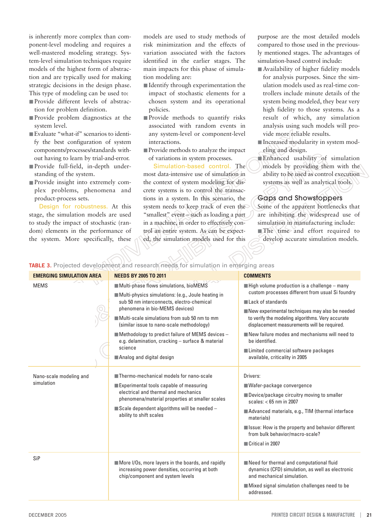is inherently more complex than component-level modeling and requires a well-mastered modeling strategy. System-level simulation techniques require models of the highest form of abstraction and are typically used for making strategic decisions in the design phase. This type of modeling can be used to:

- Provide different levels of abstraction for problem definition.
- Provide problem diagnostics at the system level.
- Evaluate "what-if" scenarios to identify the best configuration of system components/processes/standards without having to learn by trial-and-error.
- Provide full-field, in-depth understanding of the system.
- Provide insight into extremely complex problems, phenomena and product-process sets.

Design for robustness. At this stage, the simulation models are used to study the impact of stochastic (random) elements in the performance of the system. More specifically, these

models are used to study methods of risk minimization and the effects of variation associated with the factors identified in the earlier stages. The main impacts for this phase of simulation modeling are:

- Identify through experimentation the impact of stochastic elements for a chosen system and its operational policies.
- Provide methods to quantify risks associated with random events in any system-level or component-level interactions.
- Provide methods to analyze the impact of variations in system processes.

Simulation-based control. The most data-intensive use of simulation in

the context of system modeling for discrete systems is to control the transactions in a system. In this scenario, the system needs to keep track of even the "smallest" event – such as loading a part in a machine, in order to effectively control an entire system. As can be expected, the simulation models used for this

purpose are the most detailed models compared to those used in the previously mentioned stages. The advantages of simulation-based control include:

- Availability of higher fidelity models for analysis purposes. Since the simulation models used as real-time controllers include minute details of the system being modeled, they bear very high fidelity to those systems. As a result of which, any simulation analysis using such models will provide more reliable results.
- Increased modularity in system modeling and design.
- Enhanced usability of simulation models by providing them with the ability to be used as control execution systems as well as analytical tools.

# Gaps and Showstoppers

Some of the apparent bottlenecks that are inhibiting the widespread use of simulation in manufacturing include: ■ The time and effort required to develop accurate simulation models.

# **TABLE 3.** Projected development and research needs for simulation in emerging areas

| <b>EMERGING SIMULATION AREA</b>                                                                                                                                                                                                                                                                                                                                                     | <b>NEEDS BY 2005 TO 2011</b>                                                                                                           | <b>COMMENTS</b>                                                                                                                                   |
|-------------------------------------------------------------------------------------------------------------------------------------------------------------------------------------------------------------------------------------------------------------------------------------------------------------------------------------------------------------------------------------|----------------------------------------------------------------------------------------------------------------------------------------|---------------------------------------------------------------------------------------------------------------------------------------------------|
| <b>MEMS</b><br>Multi-phase flows simulations, bioMEMS<br>Multi-physics simulations: (e.g., Joule heating in<br>sub 50 nm interconnects, electro-chemical<br>phenomena in bio-MEMS devices)<br>Multi-scale simulations from sub 50 nm to mm<br>(similar issue to nano-scale methodology)<br>e.g. delamination, cracking - surface & material<br>science<br>Analog and digital design |                                                                                                                                        | $\blacksquare$ High volume production is a challenge – many<br>custom processes different from usual Si foundry                                   |
|                                                                                                                                                                                                                                                                                                                                                                                     |                                                                                                                                        |                                                                                                                                                   |
|                                                                                                                                                                                                                                                                                                                                                                                     |                                                                                                                                        | $\blacksquare$ Lack of standards                                                                                                                  |
|                                                                                                                                                                                                                                                                                                                                                                                     |                                                                                                                                        | New experimental techniques may also be needed<br>to verify the modeling algorithms. Very accurate<br>displacement measurements will be required. |
|                                                                                                                                                                                                                                                                                                                                                                                     |                                                                                                                                        |                                                                                                                                                   |
|                                                                                                                                                                                                                                                                                                                                                                                     | $\blacksquare$ Methodology to predict failure of MEMS devices -                                                                        | New failure modes and mechanisms will need to<br>be identified.                                                                                   |
|                                                                                                                                                                                                                                                                                                                                                                                     |                                                                                                                                        | Limited commercial software packages                                                                                                              |
|                                                                                                                                                                                                                                                                                                                                                                                     |                                                                                                                                        | available, criticality in 2005                                                                                                                    |
| Nano-scale modeling and<br>simulation                                                                                                                                                                                                                                                                                                                                               | ■ Thermo-mechanical models for nano-scale                                                                                              | Drivers:                                                                                                                                          |
|                                                                                                                                                                                                                                                                                                                                                                                     | Experimental tools capable of measuring<br>electrical and thermal and mechanics<br>phenomena/material properties at smaller scales     | ■ Wafer-package convergence                                                                                                                       |
|                                                                                                                                                                                                                                                                                                                                                                                     |                                                                                                                                        | ■ Device/package circuitry moving to smaller<br>scales: $<$ 65 nm in 2007                                                                         |
|                                                                                                                                                                                                                                                                                                                                                                                     | $\blacksquare$ Scale dependent algorithms will be needed -<br>ability to shift scales                                                  | Advanced materials, e.g., TIM (thermal interface<br>materials)                                                                                    |
|                                                                                                                                                                                                                                                                                                                                                                                     |                                                                                                                                        | Issue: How is the property and behavior different<br>from bulk behavior/macro-scale?                                                              |
|                                                                                                                                                                                                                                                                                                                                                                                     |                                                                                                                                        | Critical in 2007                                                                                                                                  |
| SiP                                                                                                                                                                                                                                                                                                                                                                                 |                                                                                                                                        |                                                                                                                                                   |
|                                                                                                                                                                                                                                                                                                                                                                                     | More I/Os, more layers in the boards, and rapidly<br>increasing power densities, occurring at both<br>chip/component and system levels | Need for thermal and computational fluid<br>dynamics (CFD) simulation, as well as electronic<br>and mechanical simulation.                        |
|                                                                                                                                                                                                                                                                                                                                                                                     |                                                                                                                                        | Mixed signal simulation challenges need to be<br>addressed.                                                                                       |